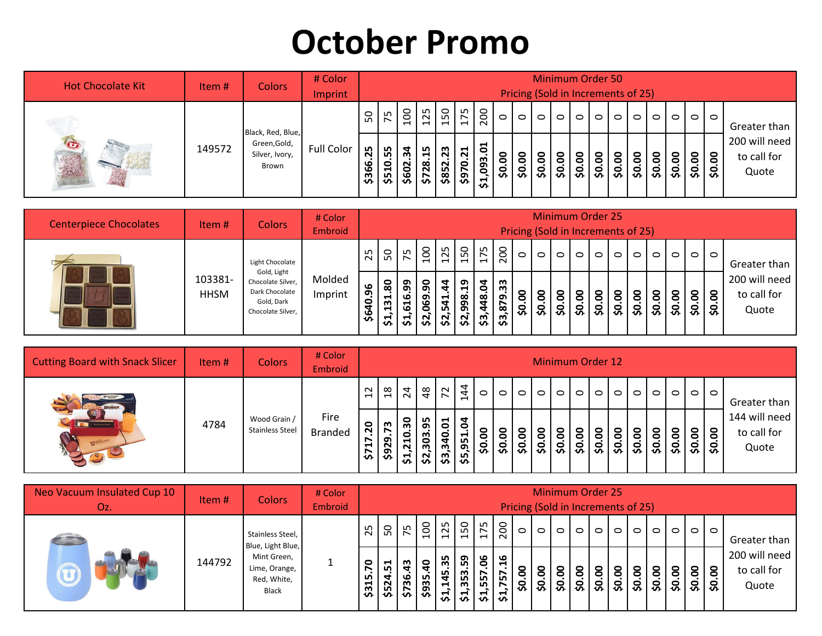## **October Promo**

| <b>Hot Chocolate Kit</b> | Item#  | <b>Colors</b>                           | # Color<br>Imprint |             |                |                  |                                                        |             |                        |                          |                |                 | <b>Minimum Order 50</b><br>Pricing (Sold in Increments of 25) |         |    |          |                     |         |         |                             |                                       |
|--------------------------|--------|-----------------------------------------|--------------------|-------------|----------------|------------------|--------------------------------------------------------|-------------|------------------------|--------------------------|----------------|-----------------|---------------------------------------------------------------|---------|----|----------|---------------------|---------|---------|-----------------------------|---------------------------------------|
|                          |        | Black, Red, Blue,                       |                    | 50          | 75             | 100              | 125                                                    | 150         | ഹ<br>$\blacksquare$    | 200                      | $\circ$        | $\circ$         | $\circ$                                                       | $\circ$ | 10 | $\circ$  | $\circ$             | $\circ$ | $\circ$ | $\circ$   $\circ$   $\circ$ | Greater than                          |
| $\bullet$                | 149572 | Green, Gold,<br>Silver, Ivory,<br>Brown | Full Color         | 25<br>\$366 | 55<br>0<br>551 | ਨ੍ਹ<br>N<br>\$60 | ഗ<br>$\blacksquare$<br>$\infty$<br>N<br>$\mathfrak{L}$ | 23<br>\$852 | ដ<br>$\bullet$<br>\$97 | <b>a</b><br>,093.<br>ਨ੍ਹ | <u>ခ</u><br>Ş, | <u>ິຣ</u><br>Ş. | ္တာ                                                           | ုင္တ    |    | 0<br>္သာ | $rac{20.00}{30.00}$ |         | \$0.00  |                             | 200 will need<br>to call for<br>Quote |

| <b>Centerpiece Chocolates</b> | Item#                  | Colors                                                                                | # Color<br><b>Embroid</b> |          |                         |                                      |                  |              |                                           |                                |    |         |           |           |                  | <b>Minimum Order 25</b><br>Pricing (Sold in Increments of 25) |                      |                    |         |                      |                             |   |                                       |
|-------------------------------|------------------------|---------------------------------------------------------------------------------------|---------------------------|----------|-------------------------|--------------------------------------|------------------|--------------|-------------------------------------------|--------------------------------|----|---------|-----------|-----------|------------------|---------------------------------------------------------------|----------------------|--------------------|---------|----------------------|-----------------------------|---|---------------------------------------|
|                               |                        | Light Chocolate                                                                       |                           | 25       | $50 \, \text{m}$        | 5 <sup>2</sup>                       | $\overline{100}$ | 125          | 150                                       | $\frac{175}{200}$              |    | $\circ$ | $\circ$ 1 | $\circ$ 1 | $\circ$          | $\circ$                                                       | $\circ$              | $\circ$            | $\circ$ |                      | $\circ$   $\circ$   $\circ$ |   | Greater than                          |
|                               | 103381-<br><b>HHSM</b> | Gold, Light<br>Chocolate Silver,<br>Dark Chocolate<br>Gold, Dark<br>Chocolate Silver, | Molded<br>Imprint         | \$640.96 | 80<br>131<br><u>প্ৰ</u> | ဌ<br>ڡ<br>$\blacktriangleright$<br>ဖ | ္တ<br>െ<br>3 3   | 5<br>⊣<br>Lη | $\mathbf{a}$<br>98<br>ഐ<br>$\mathbf{S}^2$ | g<br>$\frac{$3,448}{{$3,879}}$ | 33 | \$0.00  | 8         | 8<br>3 3  | <u>ဒို</u><br>္တ | .<br>8<br>င္တ                                                 | <u>ခ</u><br><u>့</u> | $\frac{30.00}{50}$ | \$0.00  | $\frac{1}{2}$<br>3.8 | 8                           | 8 | 200 will need<br>to call for<br>Quote |

| <b>Cutting Board with Snack Slicer</b> | Item# | <b>Colors</b>                          | # Color<br>Embroid     |                             |                |                 |                                                            |            |               |          |         |                    | <b>Minimum Order 12</b> |                             |                          |         |          |                                         |   |                             |   |                                       |
|----------------------------------------|-------|----------------------------------------|------------------------|-----------------------------|----------------|-----------------|------------------------------------------------------------|------------|---------------|----------|---------|--------------------|-------------------------|-----------------------------|--------------------------|---------|----------|-----------------------------------------|---|-----------------------------|---|---------------------------------------|
| <b>REEMNER</b>                         |       |                                        |                        | $\overline{12}$             | $\frac{8}{18}$ | $\overline{24}$ | $\frac{8}{3}$                                              | $\sqrt{2}$ | 144           | $\circ$  | $\circ$ | $\circ$            |                         | $\circ$   $\circ$   $\circ$ | $\overline{\phantom{0}}$ |         |          | $\circ$ $\circ$ $\circ$ $\circ$ $\circ$ |   | $\circ$  0 0                |   | Greater than                          |
|                                        | 4784  | Wood Grain /<br><b>Stainless Steel</b> | Fire<br><b>Branded</b> | $\overline{5}$<br>∼<br>\$71 | 73<br>\$929    | ౚౣ              | \$15<br>$\frac{51,210}{52,303}$<br>$\frac{52,303}{53,340}$ |            | P.<br>$\circ$ | 8<br>န္တ | 8<br>၂၃ | 8<br>$\frac{8}{2}$ | 8<br> အခြင်း အ          |                             | <u>ိ</u>                 | o<br>38 | <u>ခ</u> | <u>ိ</u><br>$\frac{50}{2}$              | 8 | $\mathsf{S}$<br> နွံ နွံ နွ | 8 | 144 will need<br>to call for<br>Quote |

| Neo Vacuum Insulated Cup 10<br>Oz. | Item # | <b>Colors</b>                                               | # Color<br>Embroid |                       |                   |                                  |                                       |                                  |                            |                       |                                 |          | <b>Minimum Order 25</b><br>Pricing (Sold in Increments of 25) |                    |           |                          |                 |          |            |         |                  |         |                                       |
|------------------------------------|--------|-------------------------------------------------------------|--------------------|-----------------------|-------------------|----------------------------------|---------------------------------------|----------------------------------|----------------------------|-----------------------|---------------------------------|----------|---------------------------------------------------------------|--------------------|-----------|--------------------------|-----------------|----------|------------|---------|------------------|---------|---------------------------------------|
|                                    |        | Stainless Steel,<br>Blue, Light Blue,                       |                    | 25                    | 50                | 75                               | 8<br>$\blacksquare$                   | $\frac{1}{25}$<br>$\blacksquare$ | 50<br>$\blacksquare$       | ∣ ∩<br>$\blacksquare$ | $\frac{1}{200}$                 | $\circ$  | $\circ$                                                       | $\circ$            | $\circ$ 1 | $\circ$                  | $\circ$         | $\circ$  | $\circ$    | $\circ$ | $\blacksquare$   | $\circ$ | Greater than                          |
|                                    | 144792 | Mint Green,<br>Lime, Orange,<br>Red, White,<br><b>Black</b> |                    | $\mathbf{v}$<br>\$315 | <u>ដ</u><br>\$524 | $\boldsymbol{\ddot{3}}$<br>\$736 | $\mathbf{Q}$<br>n,<br>$\frac{593}{5}$ | 35<br>145<br>상                   | 59<br>353<br>$\frac{1}{2}$ | ိ<br>n,<br>n.<br>312  | م<br>$\blacksquare$<br><u>ო</u> | 8<br>င္တ | 8<br>\$0.                                                     | ៜ<br>$\frac{1}{2}$ | 8<br>္တာ  | 0<br>$\circ$<br><u>န</u> | <u>ိ</u><br>င္တ | 8<br>္တာ | S.<br>္သင့ | \$0.00  | $rac{00}{20.00}$ |         | 200 will need<br>to call for<br>Quote |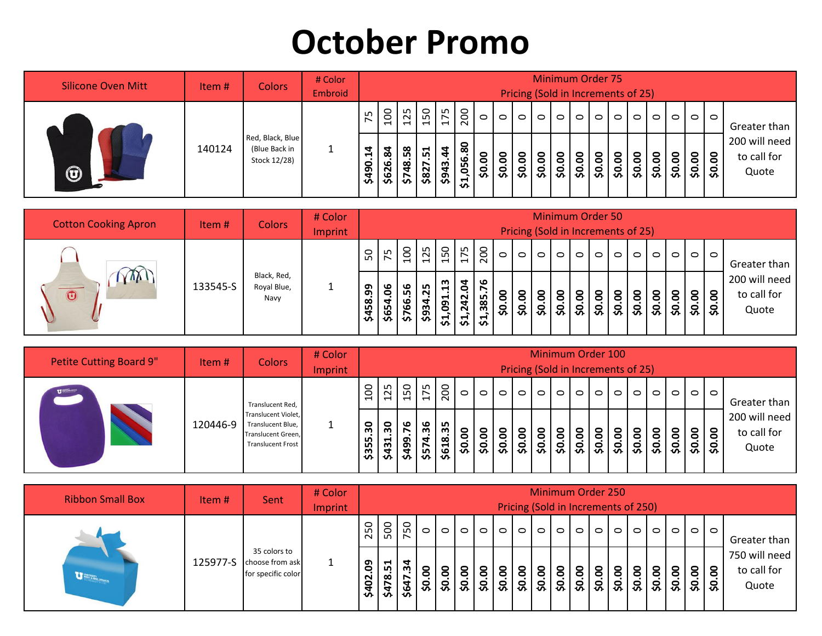## **October Promo**

| <b>Silicone Oven Mitt</b> | Item $#$ | <b>Colors</b>                                     | # Color<br>Embroid |                     |                              |     |                          |                               |                                                    |                      |         |         | <b>Minimum Order 75</b><br>Pricing (Sold in Increments of 25) |                                  |                          |          |                   |         |         |                          |                         |                                       |
|---------------------------|----------|---------------------------------------------------|--------------------|---------------------|------------------------------|-----|--------------------------|-------------------------------|----------------------------------------------------|----------------------|---------|---------|---------------------------------------------------------------|----------------------------------|--------------------------|----------|-------------------|---------|---------|--------------------------|-------------------------|---------------------------------------|
|                           |          |                                                   |                    | 75                  | 100                          | 125 | 50<br>$-1 -$             | ഗ<br>$\overline{\phantom{0}}$ | 200                                                | $\circ$              | $\circ$ | $\circ$ | $\circ$                                                       | $\circ$                          | $\overline{\phantom{0}}$ | $\circ$  | $\circ$           | $\circ$ | $\circ$ |                          | $\circ$ $\circ$ $\circ$ | Greater than                          |
| $\bigcirc$                | 140124   | Red, Black, Blue<br>(Blue Back in<br>Stock 12/28) |                    | $\ddot{a}$<br>\$490 | $\ddot{\mathbf{g}}$<br>\$626 | 58  | ⊣<br>$\frac{5748}{5827}$ | 5                             | 80<br>.056<br>$\overline{\phantom{a}}$<br><u>ম</u> | 0<br>$\bullet$<br>္တ | \$0.00  | \$0.00  | 8<br>$\frac{50}{2}$                                           | $\circ$<br>$\bullet$<br>' ဗုံ ခြ | $\circ$<br>$\circ$       | S.<br>Ş. | <u>ဒ</u><br>ွှင့် | \$0.00  | \$0.00  | 8<br>$\ddot{\mathbf{s}}$ | 8 8<br>္သာ ၁            | 200 will need<br>to call for<br>Quote |

| <b>Cotton Cooking Apron</b>           | Item#    | <b>Colors</b>                      | # Color<br>Imprint |             |            |             |                       |                                                                       |                                                                    |                                     |         | Pricing (Sold in Increments of 25) |                          | <b>Minimum Order 50</b> |                 |           |                     |                    |         |                          |                         |                                       |
|---------------------------------------|----------|------------------------------------|--------------------|-------------|------------|-------------|-----------------------|-----------------------------------------------------------------------|--------------------------------------------------------------------|-------------------------------------|---------|------------------------------------|--------------------------|-------------------------|-----------------|-----------|---------------------|--------------------|---------|--------------------------|-------------------------|---------------------------------------|
|                                       |          |                                    |                    | 50          | 75         |             | $\frac{2}{12}$        | 150                                                                   | 175                                                                | 200                                 | $\circ$ | $\circ$                            | $\circ$                  | $\circ$                 | $\circ$         | $\circ$   | $\circ$             | $\circ$            | $\circ$ |                          | $\circ$ $\circ$ $\circ$ | Greater than                          |
| $\Delta$ vy 1<br>$\overline{\bullet}$ | 133545-S | Black, Red,<br>Royal Blue,<br>Navy |                    | 99<br>\$458 | 8<br>\$654 | ື<br>ம<br>ဖ | 25<br>$rac{165}{965}$ | m<br>$\blacksquare$<br>$\blacksquare$<br>თ<br>$\circ$<br>$\mathbf{r}$ | $\overline{a}$<br>$\bullet$<br>$\overline{a}$<br>N<br>$\mathbf{r}$ | ڡ<br>385<br>$\overline{\mathbf{5}}$ | \$0.00  | \$0.00                             | ៜ<br>$\overline{\infty}$ | 50.00                   | $\bullet$<br>သိ | S.<br>င္တ | S.<br>$\frac{8}{3}$ | $\frac{30.00}{50}$ | \$0.00  | 8   8   8<br>  အ   အ   အ |                         | 200 will need<br>to call for<br>Quote |

| <b>Petite Cutting Board 9"</b> | Item $#$ | <b>Colors</b>                                                                       | # Color<br>Imprint |                     |             |     |                                      |           |          |            |         |               |                 | Minimum Order 100<br>Pricing (Sold in Increments of 25) |                   |           |                             |                                       |
|--------------------------------|----------|-------------------------------------------------------------------------------------|--------------------|---------------------|-------------|-----|--------------------------------------|-----------|----------|------------|---------|---------------|-----------------|---------------------------------------------------------|-------------------|-----------|-----------------------------|---------------------------------------|
| $\overline{u}$                 |          | Translucent Red,                                                                    |                    | 100                 | 125         |     | $\frac{5}{15}$ $\frac{5}{15}$        | $\circ$   | $\circ$  | $\circ$    | $\circ$ | $\circ$ 1     | $\circ$ $\circ$ | $\circ$                                                 | $\circ$   $\circ$ | $\circ$ 1 | $\circ$   $\circ$   $\circ$ | Greater than                          |
|                                | 120446-9 | Translucent Violet,<br>Translucent Blue,<br>Translucent Green,<br>Translucent Frost |                    | <u>့်</u><br>\$355. | ႙ၟ<br>\$431 | ا پ | $\frac{6}{3}$<br>$\frac{2499}{5574}$ | .oo<br>္တ | <u>ခ</u> | S.<br> 8 8 | \$0.00  | $\frac{1}{2}$ |                 | \$0.00                                                  | $\frac{8}{3}$     | \$0.00    | $\frac{8}{30}$              | 200 will need<br>to call for<br>Quote |

| <b>Ribbon Small Box</b> | Item #   | Sent                                                  | # Color<br>Imprint |              |          |                   |         |                 |         |                     | Pricing (Sold in Increments of 250) |         | <b>Minimum Order 250</b> |         |         |         |         |                    |         |           |                 |                                       |
|-------------------------|----------|-------------------------------------------------------|--------------------|--------------|----------|-------------------|---------|-----------------|---------|---------------------|-------------------------------------|---------|--------------------------|---------|---------|---------|---------|--------------------|---------|-----------|-----------------|---------------------------------------|
|                         |          |                                                       |                    | 250          | 500      | 750               | $\circ$ | $\circ$ $\circ$ | $\circ$ | $\circ$             | $\circ$                             | $\circ$ | $\circ$                  | $\circ$ | $\circ$ | $\circ$ | $\circ$ | $\circ$            | $\circ$ | $\circ$ 1 | $\circ$         | Greater than                          |
| <b>UNITED READY</b>     | 125977-S | 35 colors to<br>choose from ask<br>for specific color |                    | eg<br>\$402. | 75.874\$ | ¢<br>ن ب<br>\$647 |         | $rac{6}{30.00}$ |         | $rac{20.00}{30.00}$ | \$0.00                              | \$0.00  | OO.<br>$\frac{1}{2}$     | \$0.00  | \$0.00  | \$0.00  | \$0.00  | $\frac{50.00}{50}$ | \$0.00  |           | $rac{00}{1000}$ | 750 will need<br>to call for<br>Quote |